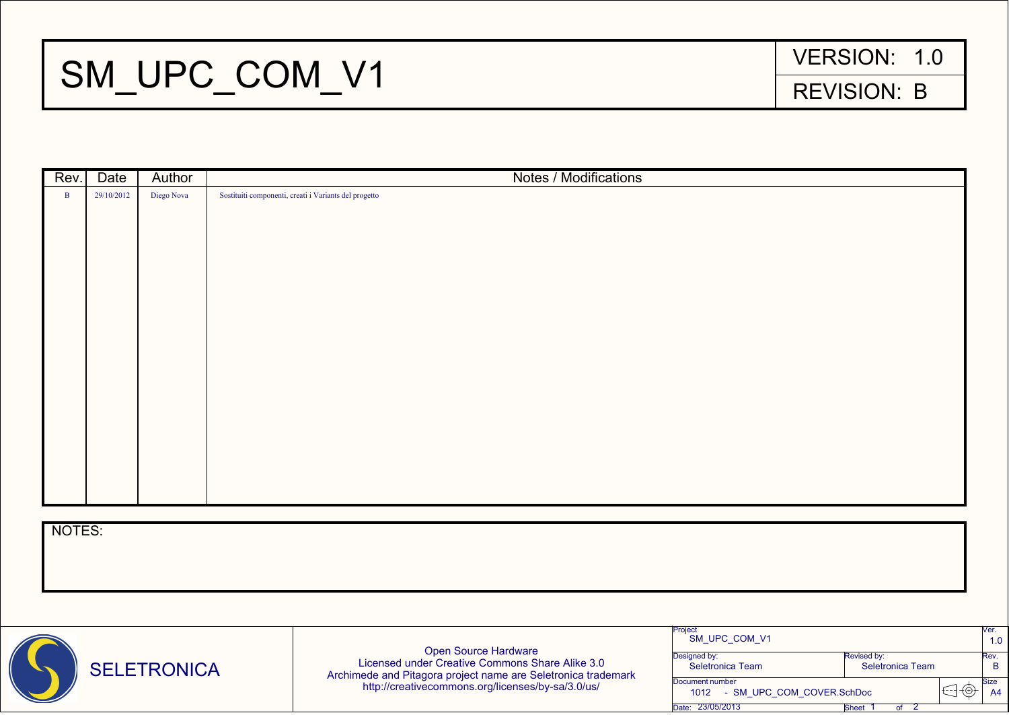

| Project<br>SM UPC COM V1          |                         | Ver.<br>1.0    |
|-----------------------------------|-------------------------|----------------|
| Designed by:                      | Revised by:             | Rev.           |
| <b>Seletronica Team</b>           | <b>Seletronica Team</b> |                |
| Document number                   |                         | <b>Size</b>    |
| - SM UPC COM COVER.SchDoc<br>1012 |                         | A <sup>4</sup> |
| 23/05/2013<br>Date:<br>Sheet      |                         |                |

## SM\_UPC\_COM\_V1 REVISION: B

Open Source Hardware Licensed under Creative Commons Share Alike 3.0 Archimede and Pitagora project name are Seletronica trademark http://creativecommons.org/licenses/by-sa/3.0/us/

| Rev.         | Date       | Author     | <b>Notes / Modifications</b>                          |
|--------------|------------|------------|-------------------------------------------------------|
| $\mathbf{B}$ | 29/10/2012 | Diego Nova | Sostituiti componenti, creati i Variants del progetto |
|              |            |            |                                                       |
|              |            |            |                                                       |
|              |            |            |                                                       |
|              |            |            |                                                       |
|              |            |            |                                                       |
|              |            |            |                                                       |
|              |            |            |                                                       |
|              |            |            |                                                       |
|              |            |            |                                                       |
|              |            |            |                                                       |
|              |            |            |                                                       |
|              |            |            |                                                       |
|              |            |            |                                                       |
|              |            |            |                                                       |
|              |            |            |                                                       |
|              |            |            |                                                       |
|              |            |            |                                                       |
| NOTES:       |            |            |                                                       |
|              |            |            |                                                       |
|              |            |            |                                                       |
|              |            |            |                                                       |
|              |            |            |                                                       |
|              |            |            | Project                                               |

## VERSION: 1.0